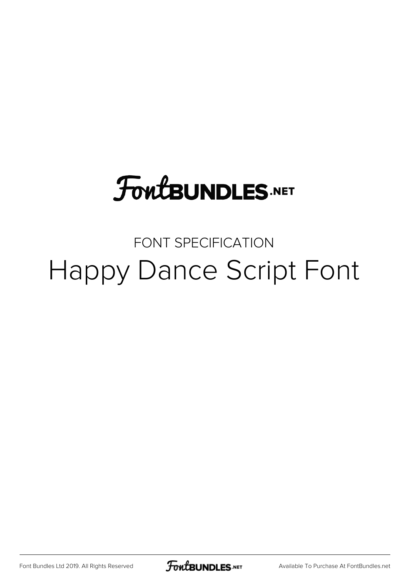# **FoutBUNDLES.NET**

## FONT SPECIFICATION Happy Dance Script Font

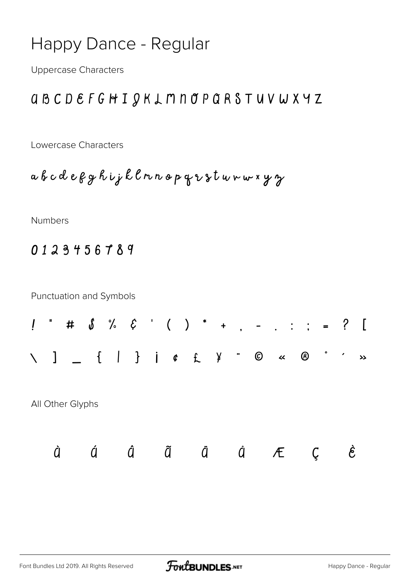### **Happy Dance - Regular**

**Uppercase Characters** 

#### *QBCDEFGHIQKLMNOPQRSTUVWXYZ*

Lowercase Characters

abcdegghijklmnopqrstwnwxyz

Numbers

0123456789

**Punctuation and Symbols**  $*$  #  $\delta$  %  $\xi$  ' ( )  $*$  +  $\therefore$   $=$  ? [  $\mathbf{I}$  $\circ$   $\circ$  $\sum$  $\mathbf{z}$ All Other Glyphs Á Â Ã Ä Å Å Æ Ç È À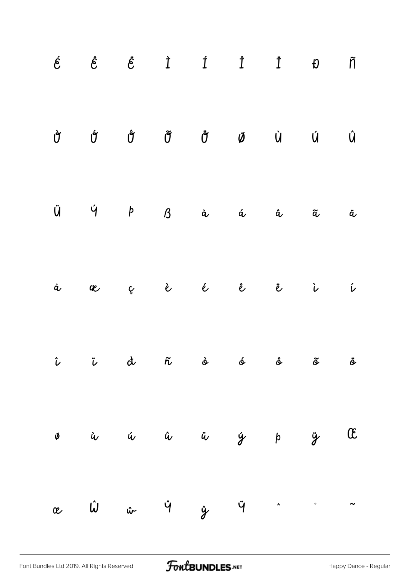|   | $\acute{e}$ $\acute{e}$ $\ddot{e}$ $\dot{I}$ $\acute{I}$ $\ddot{I}$ $\ddot{U}$ |  |                                                                                                             |  | $\tilde{\Pi}$      |
|---|--------------------------------------------------------------------------------|--|-------------------------------------------------------------------------------------------------------------|--|--------------------|
| Ù | $\acute{\sigma}$                                                               |  | $\hat{\sigma}$ $\tilde{\sigma}$ $\tilde{\sigma}$ $\varnothing$ $\dot{\sigma}$ $\dot{\sigma}$ $\dot{\sigma}$ |  | $\hat{\mathsf{U}}$ |
|   | $\ddot{U}$ $\dot{V}$ $\dot{P}$ $\beta$ à á á $\ddot{a}$ $\ddot{a}$             |  |                                                                                                             |  | ä                  |
| å | æ                                                                              |  | ç è é ê ë ì                                                                                                 |  | $\hat{\nu}$        |
|   | î î di ñ si si si si                                                           |  |                                                                                                             |  |                    |
|   | ø ù ú û ü ý þ ÿ Œ                                                              |  |                                                                                                             |  |                    |
|   | $x$ $\hat{\omega}$ $\hat{\omega}$ $\hat{y}$ $\hat{y}$ $\hat{\gamma}$           |  |                                                                                                             |  |                    |